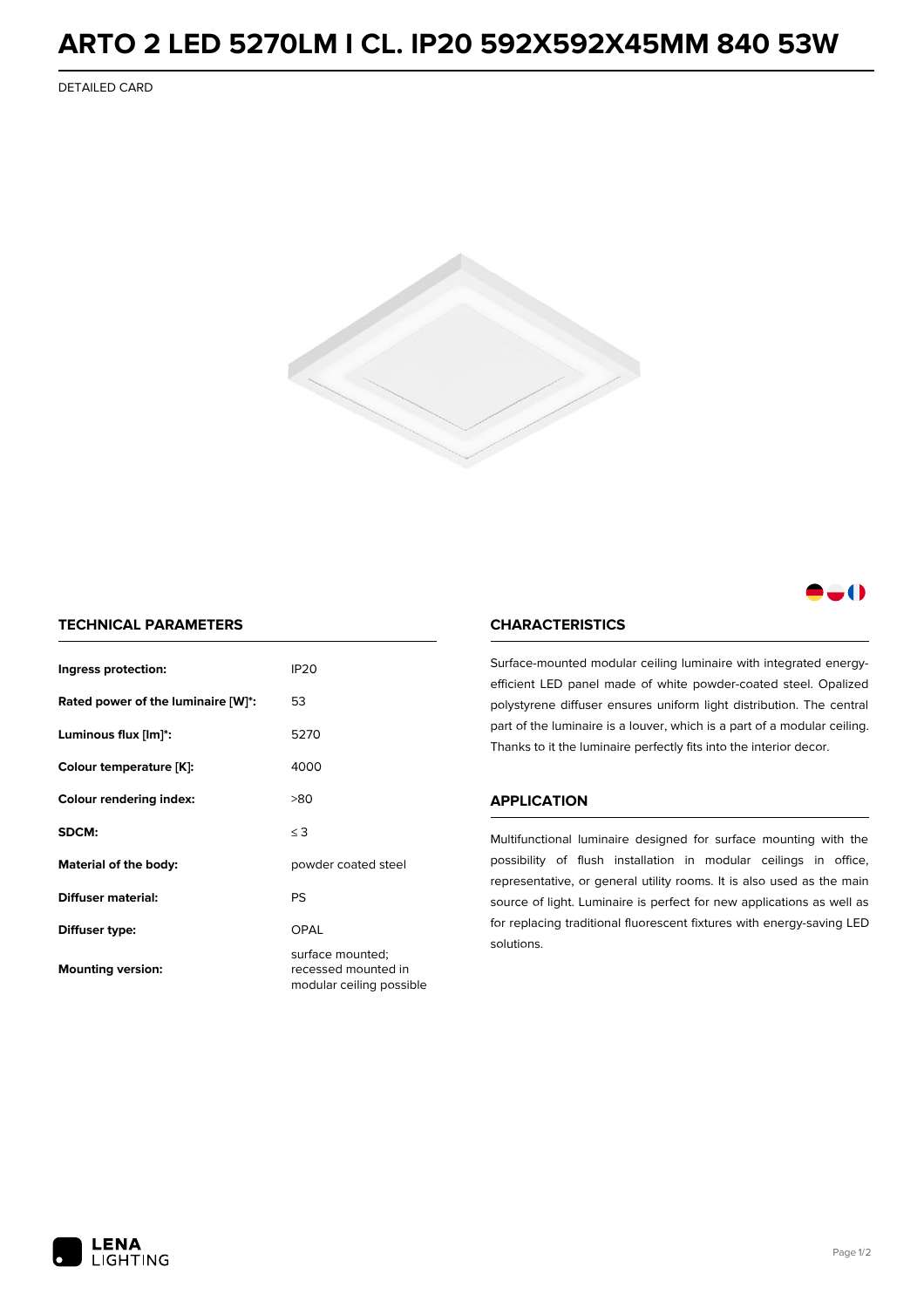## **ARTO 2 LED 5270LM I CL. IP20 592X592X45MM 840 53W**

DETAILED CARD



### -0

### **TECHNICAL PARAMETERS**

| Ingress protection:                | <b>IP20</b>                                                         |  |
|------------------------------------|---------------------------------------------------------------------|--|
| Rated power of the luminaire [W]*: | 53                                                                  |  |
| Luminous flux [lm]*:               | 5270                                                                |  |
| Colour temperature [K]:            | 4000                                                                |  |
| <b>Colour rendering index:</b>     | >80                                                                 |  |
| SDCM:                              | $\leq$ 3                                                            |  |
| Material of the body:              | powder coated steel                                                 |  |
| Diffuser material:                 | PS                                                                  |  |
| Diffuser type:                     | OPAL                                                                |  |
| <b>Mounting version:</b>           | surface mounted;<br>recessed mounted in<br>modular ceiling possible |  |

#### **CHARACTERISTICS**

Surface-mounted modular ceiling luminaire with integrated energyefficient LED panel made of white powder-coated steel. Opalized polystyrene diffuser ensures uniform light distribution. The central part of the luminaire is a louver, which is a part of a modular ceiling. Thanks to it the luminaire perfectly fits into the interior decor.

#### **APPLICATION**

Multifunctional luminaire designed for surface mounting with the possibility of flush installation in modular ceilings in office, representative, or general utility rooms. It is also used as the main source of light. Luminaire is perfect for new applications as well as for replacing traditional fluorescent fixtures with energy-saving LED solutions.